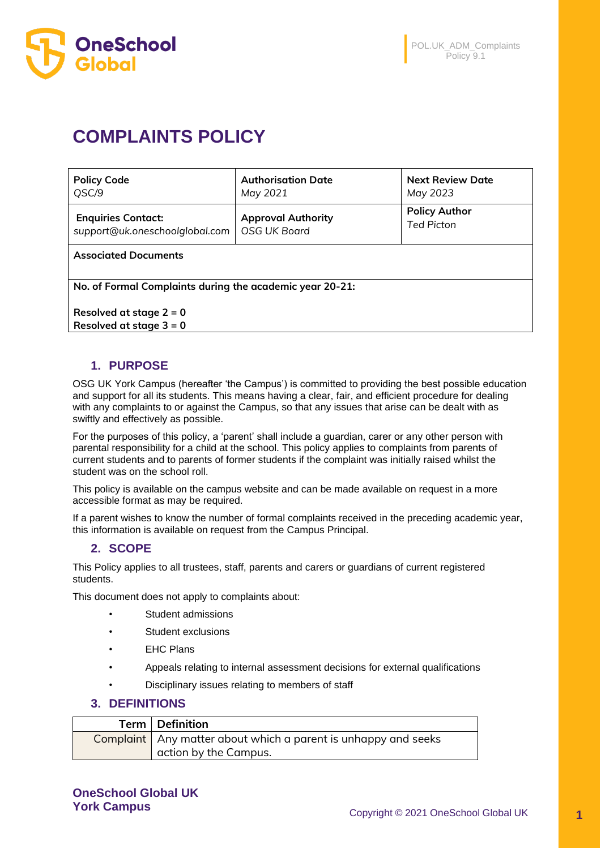

# **COMPLAINTS POLICY**

| <b>Policy Code</b>             | <b>Authorisation Date</b> | <b>Next Review Date</b> |
|--------------------------------|---------------------------|-------------------------|
| QSC/9                          | May 2021                  | May 2023                |
| <b>Enquiries Contact:</b>      | <b>Approval Authority</b> | <b>Policy Author</b>    |
| support@uk.oneschoolglobal.com | OSG UK Board              | <b>Ted Picton</b>       |
|                                |                           |                         |

**Associated Documents** 

**No. of Formal Complaints during the academic year 20-21:**

**Resolved at stage 2 = 0 Resolved at stage 3 = 0**

## **1. PURPOSE**

OSG UK York Campus (hereafter 'the Campus') is committed to providing the best possible education and support for all its students. This means having a clear, fair, and efficient procedure for dealing with any complaints to or against the Campus, so that any issues that arise can be dealt with as swiftly and effectively as possible.

For the purposes of this policy, a 'parent' shall include a guardian, carer or any other person with parental responsibility for a child at the school. This policy applies to complaints from parents of current students and to parents of former students if the complaint was initially raised whilst the student was on the school roll.

This policy is available on the campus website and can be made available on request in a more accessible format as may be required.

If a parent wishes to know the number of formal complaints received in the preceding academic year, this information is available on request from the Campus Principal.

## **2. SCOPE**

This Policy applies to all trustees, staff, parents and carers or guardians of current registered students.

This document does not apply to complaints about:

- Student admissions
- Student exclusions
- **EHC Plans**
- Appeals relating to internal assessment decisions for external qualifications
- Disciplinary issues relating to members of staff

## **3. DEFINITIONS**

| Term   Definition                                                |
|------------------------------------------------------------------|
| Complaint   Any matter about which a parent is unhappy and seeks |
| action by the Campus.                                            |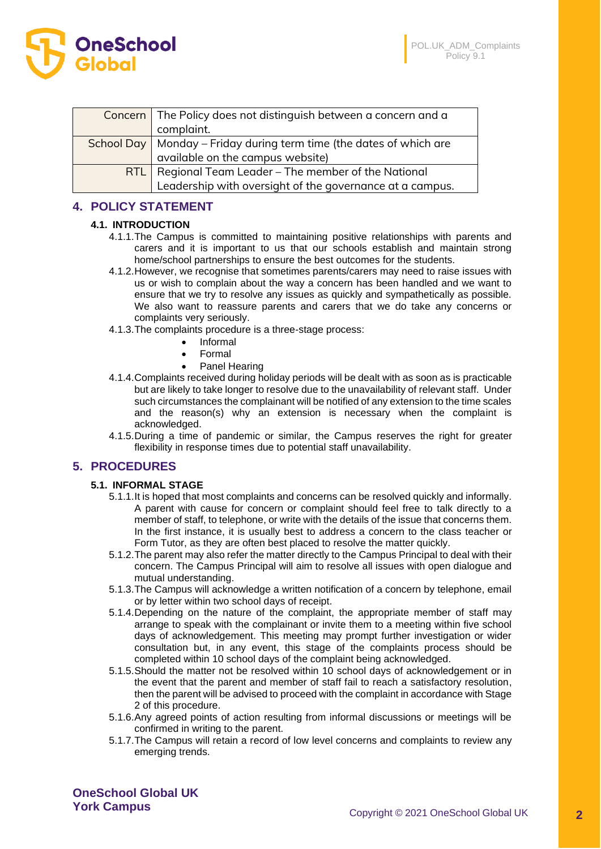OL.UK ADM Complaints Policy 9.1



| Concern   The Policy does not distinguish between a concern and a     |  |  |
|-----------------------------------------------------------------------|--|--|
| complaint.                                                            |  |  |
| School Day   Monday - Friday during term time (the dates of which are |  |  |
| available on the campus website)                                      |  |  |
| <b>RTL</b>   Regional Team Leader – The member of the National        |  |  |
| Leadership with oversight of the governance at a campus.              |  |  |

## **4. POLICY STATEMENT**

#### **4.1. INTRODUCTION**

- 4.1.1.The Campus is committed to maintaining positive relationships with parents and carers and it is important to us that our schools establish and maintain strong home/school partnerships to ensure the best outcomes for the students.
- 4.1.2.However, we recognise that sometimes parents/carers may need to raise issues with us or wish to complain about the way a concern has been handled and we want to ensure that we try to resolve any issues as quickly and sympathetically as possible. We also want to reassure parents and carers that we do take any concerns or complaints very seriously.
- 4.1.3.The complaints procedure is a three-stage process:
	- Informal
	- Formal
	- Panel Hearing
- 4.1.4.Complaints received during holiday periods will be dealt with as soon as is practicable but are likely to take longer to resolve due to the unavailability of relevant staff. Under such circumstances the complainant will be notified of any extension to the time scales and the reason(s) why an extension is necessary when the complaint is acknowledged.
- 4.1.5.During a time of pandemic or similar, the Campus reserves the right for greater flexibility in response times due to potential staff unavailability.

## **5. PROCEDURES**

#### **5.1. INFORMAL STAGE**

- 5.1.1.It is hoped that most complaints and concerns can be resolved quickly and informally. A parent with cause for concern or complaint should feel free to talk directly to a member of staff, to telephone, or write with the details of the issue that concerns them. In the first instance, it is usually best to address a concern to the class teacher or Form Tutor, as they are often best placed to resolve the matter quickly.
- 5.1.2.The parent may also refer the matter directly to the Campus Principal to deal with their concern. The Campus Principal will aim to resolve all issues with open dialogue and mutual understanding.
- 5.1.3.The Campus will acknowledge a written notification of a concern by telephone, email or by letter within two school days of receipt.
- 5.1.4.Depending on the nature of the complaint, the appropriate member of staff may arrange to speak with the complainant or invite them to a meeting within five school days of acknowledgement. This meeting may prompt further investigation or wider consultation but, in any event, this stage of the complaints process should be completed within 10 school days of the complaint being acknowledged.
- 5.1.5.Should the matter not be resolved within 10 school days of acknowledgement or in the event that the parent and member of staff fail to reach a satisfactory resolution, then the parent will be advised to proceed with the complaint in accordance with Stage 2 of this procedure.
- 5.1.6.Any agreed points of action resulting from informal discussions or meetings will be confirmed in writing to the parent.
- 5.1.7.The Campus will retain a record of low level concerns and complaints to review any emerging trends.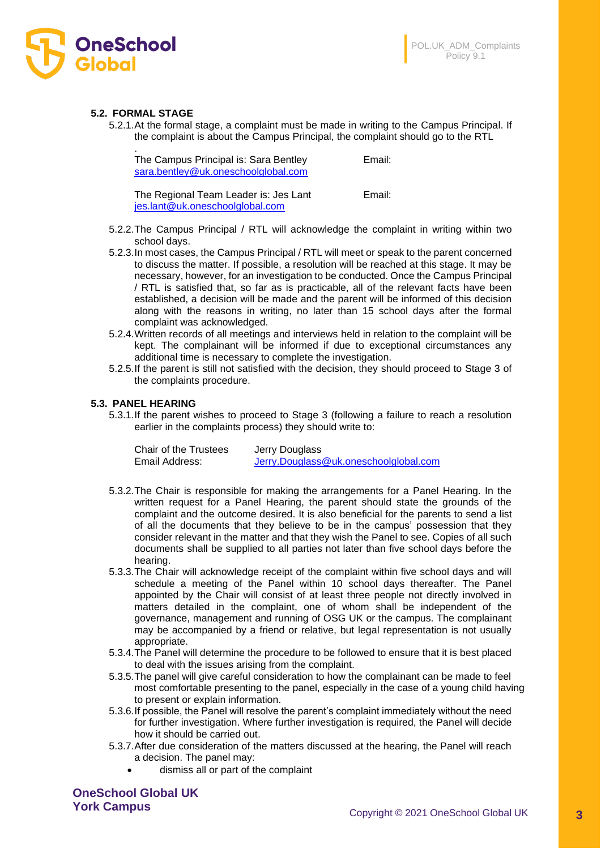

#### **5.2. FORMAL STAGE**

5.2.1.At the formal stage, a complaint must be made in writing to the Campus Principal. If the complaint is about the Campus Principal, the complaint should go to the RTL

| ٠<br>The Campus Principal is: Sara Bentley<br>sara.bentley@uk.oneschoolglobal.com | Email: |
|-----------------------------------------------------------------------------------|--------|
| The Regional Team Leader is: Jes Lant<br>jes.lant@uk.oneschoolglobal.com          | Email: |

- 5.2.2.The Campus Principal / RTL will acknowledge the complaint in writing within two school days.
- 5.2.3.In most cases, the Campus Principal / RTL will meet or speak to the parent concerned to discuss the matter. If possible, a resolution will be reached at this stage. It may be necessary, however, for an investigation to be conducted. Once the Campus Principal / RTL is satisfied that, so far as is practicable, all of the relevant facts have been established, a decision will be made and the parent will be informed of this decision along with the reasons in writing, no later than 15 school days after the formal complaint was acknowledged.
- 5.2.4.Written records of all meetings and interviews held in relation to the complaint will be kept. The complainant will be informed if due to exceptional circumstances any additional time is necessary to complete the investigation.
- 5.2.5.If the parent is still not satisfied with the decision, they should proceed to Stage 3 of the complaints procedure.

#### **5.3. PANEL HEARING**

5.3.1.If the parent wishes to proceed to Stage 3 (following a failure to reach a resolution earlier in the complaints process) they should write to:

| Chair of the Trustees | Jerry Douglass                        |
|-----------------------|---------------------------------------|
| Email Address:        | Jerry.Douglass@uk.oneschoolglobal.com |

- 5.3.2.The Chair is responsible for making the arrangements for a Panel Hearing. In the written request for a Panel Hearing, the parent should state the grounds of the complaint and the outcome desired. It is also beneficial for the parents to send a list of all the documents that they believe to be in the campus' possession that they consider relevant in the matter and that they wish the Panel to see. Copies of all such documents shall be supplied to all parties not later than five school days before the hearing.
- 5.3.3.The Chair will acknowledge receipt of the complaint within five school days and will schedule a meeting of the Panel within 10 school days thereafter. The Panel appointed by the Chair will consist of at least three people not directly involved in matters detailed in the complaint, one of whom shall be independent of the governance, management and running of OSG UK or the campus. The complainant may be accompanied by a friend or relative, but legal representation is not usually appropriate.
- 5.3.4.The Panel will determine the procedure to be followed to ensure that it is best placed to deal with the issues arising from the complaint.
- 5.3.5.The panel will give careful consideration to how the complainant can be made to feel most comfortable presenting to the panel, especially in the case of a young child having to present or explain information.
- 5.3.6.If possible, the Panel will resolve the parent's complaint immediately without the need for further investigation. Where further investigation is required, the Panel will decide how it should be carried out.
- 5.3.7.After due consideration of the matters discussed at the hearing, the Panel will reach a decision. The panel may:
	- dismiss all or part of the complaint

**OneSchool Global UK**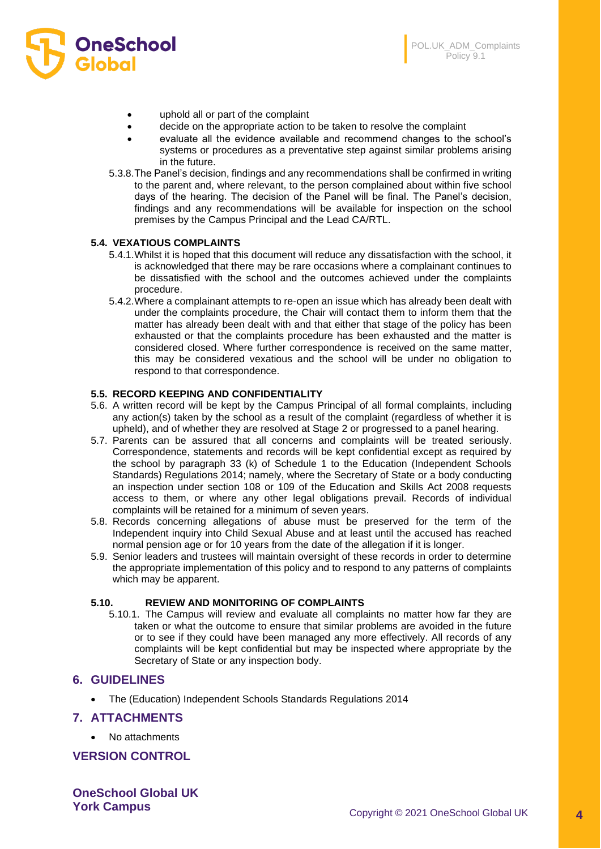

- uphold all or part of the complaint
- decide on the appropriate action to be taken to resolve the complaint
- evaluate all the evidence available and recommend changes to the school's systems or procedures as a preventative step against similar problems arising in the future.
- 5.3.8.The Panel's decision, findings and any recommendations shall be confirmed in writing to the parent and, where relevant, to the person complained about within five school days of the hearing. The decision of the Panel will be final. The Panel's decision, findings and any recommendations will be available for inspection on the school premises by the Campus Principal and the Lead CA/RTL.

#### **5.4. VEXATIOUS COMPLAINTS**

- 5.4.1.Whilst it is hoped that this document will reduce any dissatisfaction with the school, it is acknowledged that there may be rare occasions where a complainant continues to be dissatisfied with the school and the outcomes achieved under the complaints procedure.
- 5.4.2.Where a complainant attempts to re-open an issue which has already been dealt with under the complaints procedure, the Chair will contact them to inform them that the matter has already been dealt with and that either that stage of the policy has been exhausted or that the complaints procedure has been exhausted and the matter is considered closed. Where further correspondence is received on the same matter, this may be considered vexatious and the school will be under no obligation to respond to that correspondence.

#### **5.5. RECORD KEEPING AND CONFIDENTIALITY**

- 5.6. A written record will be kept by the Campus Principal of all formal complaints, including any action(s) taken by the school as a result of the complaint (regardless of whether it is upheld), and of whether they are resolved at Stage 2 or progressed to a panel hearing.
- 5.7. Parents can be assured that all concerns and complaints will be treated seriously. Correspondence, statements and records will be kept confidential except as required by the school by paragraph 33 (k) of Schedule 1 to the Education (Independent Schools Standards) Regulations 2014; namely, where the Secretary of State or a body conducting an inspection under section 108 or 109 of the Education and Skills Act 2008 requests access to them, or where any other legal obligations prevail. Records of individual complaints will be retained for a minimum of seven years.
- 5.8. Records concerning allegations of abuse must be preserved for the term of the Independent inquiry into Child Sexual Abuse and at least until the accused has reached normal pension age or for 10 years from the date of the allegation if it is longer.
- 5.9. Senior leaders and trustees will maintain oversight of these records in order to determine the appropriate implementation of this policy and to respond to any patterns of complaints which may be apparent.

#### **5.10. REVIEW AND MONITORING OF COMPLAINTS**

5.10.1. The Campus will review and evaluate all complaints no matter how far they are taken or what the outcome to ensure that similar problems are avoided in the future or to see if they could have been managed any more effectively. All records of any complaints will be kept confidential but may be inspected where appropriate by the Secretary of State or any inspection body.

#### **6. GUIDELINES**

• The (Education) Independent Schools Standards Regulations 2014

#### **7. ATTACHMENTS**

• No attachments

## **VERSION CONTROL**

**OneSchool Global UK**